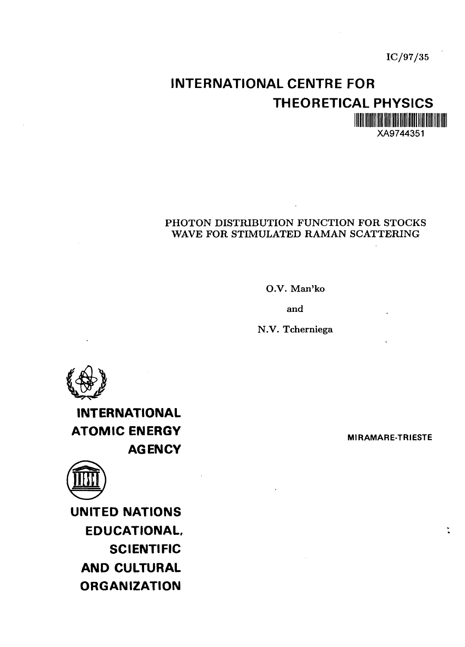## **INTERNATIONAL CENTRE FOR THEORETICAL PHYSICS** XA9744351

#### PHOTON DISTRIBUTION FUNCTION FOR STOCKS WAVE FOR STIMULATED RAMAN SCATTERING

O.V. Man'ko

and

N.V. Tcherniega



**INTERNATIONAL ATOMIC ENERGY AGENCY**



**UNITED NATIONS EDUCATIONAL, SCIENTIFIC AND CULTURAL ORGANIZATION**

**MIRAMARE-TRIESTE**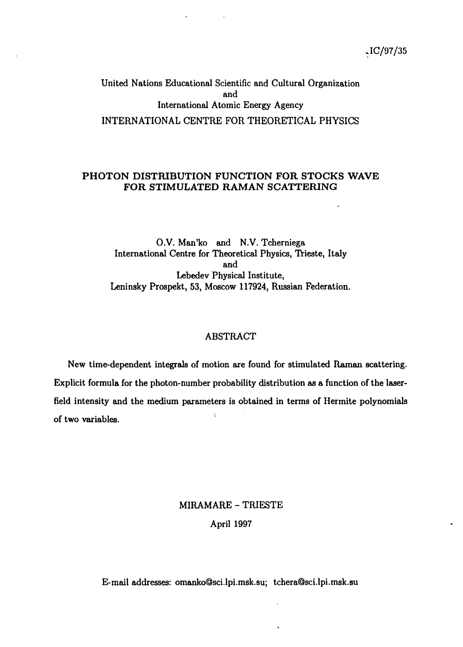United Nations Educational Scientific and Cultural Organization and International Atomic Energy Agency INTERNATIONAL CENTRE FOR THEORETICAL PHYSICS

#### PHOTON DISTRIBUTION FUNCTION FOR STOCKS WAVE FOR STIMULATED RAMAN SCATTERING

O.V. Man'ko and N.V. Tcherniega International Centre for Theoretical Physics, Trieste, Italy and Lebedev Physical Institute, Leninsky Prospekt, 53, Moscow 117924, Russian Federation.

#### ABSTRACT

New time-dependent integrals of motion are found for stimulated Raman scattering. Explicit formula for the photon-number probability distribution as a function of the laserfield intensity and the medium parameters is obtained in terms of Hermite polynomials  $\ddot{\cdot}$ of two variables.

## MIRAMARE - TRIESTE April 1997

E-mail addresses: omanko@sci.lpi.msk.su; tchera@sci.lpi.msk.su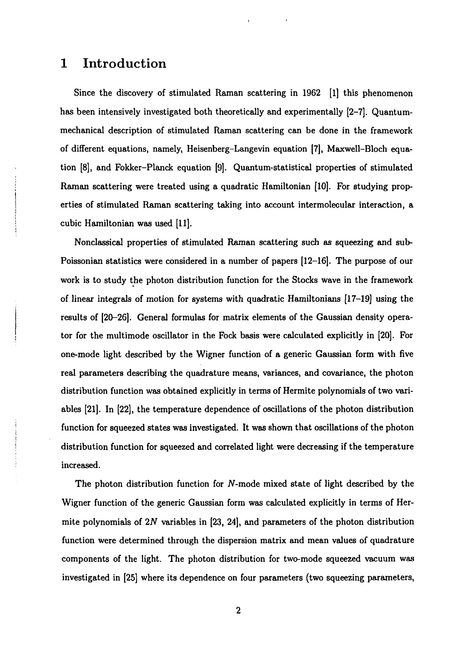#### **1 Introduction**

Since the discovery of stimulated Raman scattering in 1962 [1] this phenomenon has been intensively investigated both theoretically and experimentally [2-7]. Quantummechanical description of stimulated Raman scattering can be done in the framework of different equations, namely, Heisenberg-Langevin equation [7], Maxwell-Bloch equation [8], and Fokker-Planck equation [9]. Quantum-statistical properties of stimulated Raman scattering were treated using a quadratic Hamiltonian [10]. For studying properties of stimulated Raman scattering taking into account intermolegular interaction, a cubic Hamiltonian was used [11].

Nonclassical properties of stimulated Raman scattering such as squeezing and sub-Poissonian statistics were considered in a number of papers [12-16]. The purpose of our work is to study the photon distribution function for the Stocks wave in the framework of linear integrals of motion for systems with quadratic Hamiltonians [17-19] using the results of [20-26]. General formulas for matrix elements of the Gaussian density operator for the multimode oscillator in the Fock basis were calculated explicitly in [20]. For one-mode light described by the Wigner function of a generic Gaussian form with five real parameters describing the quadrature means, variances, and covariance, the photon distribution function was obtained explicitly in terms of Hermite polynomials of two variables [21]. In [22], the temperature dependence of oscillations of the photon distribution function for squeezed states was investigated. It was shown that oscillations of the photon distribution function for squeezed and correlated light were decreasing if the temperature increased.

The photon distribution function for N-mode mixed state of light described by the Wigner function of the generic Gaussian form was calculated explicitly in terms of Hermite polynomials of *2N* variables in [23, 24], and parameters of the photon distribution function were determined through the dispersion matrix and mean values of quadrature components of the light. The photon distribution for two-mode squeezed vacuum was investigated in [25] where its dependence on four parameters (two squeezing parameters,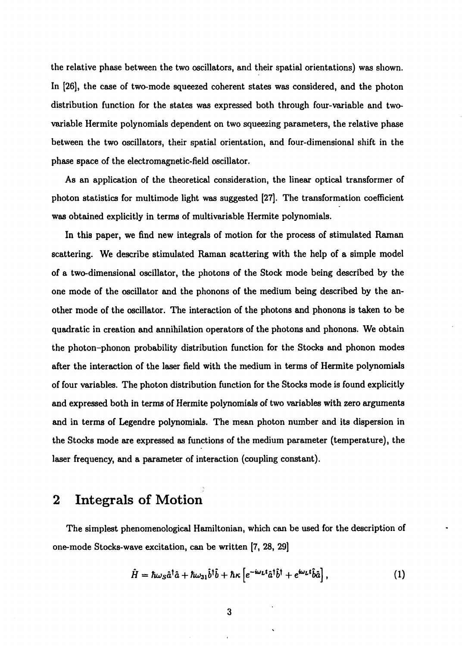the relative phase between the two oscillators, and their spatial orientations) was shown. In [26], the case of two-mode squeezed coherent states was considered, and the photon distribution function for the states was expressed both through four-variable and twovariable Hermite polynomials dependent on two squeezing parameters, the relative phase between the two oscillators, their spatial orientation, and four-dimensional shift in the phase space of the electromagnetic-field oscillator.

As an application of the theoretical consideration, the linear optical transformer of photon statistics for multimode light was suggested [27]. The transformation coefficient was obtained explicitly in terms of multivariable Hermite polynomials.

In this paper, we find new integrals of motion for the process of stimulated Raman scattering. We describe stimulated Raman scattering with the help of a simple model of a two-dimensional oscillator, the photons of the Stock mode being described by the one mode of the oscillator and the phonons of the medium being described by the another mode of the oscillator. The interaction of the photons and phonons is taken to be quadratic in creation and annihilation operators of the photons and phonons. We obtain the photon-phonon probability distribution function for the Stocks and phonon modes after the interaction of the laser field with the medium in terms of Hermite polynomials of four variables. The photon distribution function for the Stocks mode is found explicitly and expressed both in terms of Hermite polynomials of two variables with zero arguments and in terms of Legendre polynomials. The mean photon number and its dispersion in the Stocks mode are expressed as functions of the medium parameter (temperature), the laser frequency, and a parameter of interaction (coupling constant).

## **2 Integrals of Motion**

The simplest phenomenological Hamiltonian, which can be used for the description of one-mode Stocks-wave excitation, can be written [7, 28, 29]

$$
\hat{H} = \hbar\omega_{\rm s}\hat{a}^{\dagger}\hat{a} + \hbar\omega_{31}\hat{b}^{\dagger}\hat{b} + \hbar\kappa \left[ e^{-i\omega_{\rm L}t}\hat{a}^{\dagger}\hat{b}^{\dagger} + e^{i\omega_{\rm L}t}\hat{b}\hat{a} \right], \tag{1}
$$

3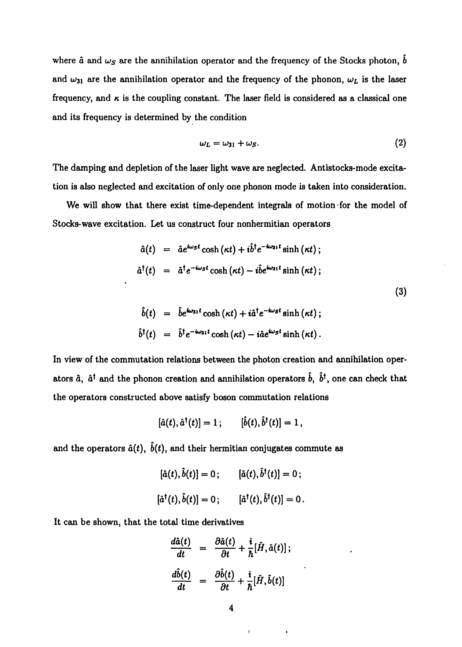where  $\hat{a}$  and  $\omega_s$  are the annihilation operator and the frequency of the Stocks photon,  $\hat{b}$ and  $\omega_{31}$  are the annihilation operator and the frequency of the phonon,  $\omega_L$  is the laser frequency, and  $\kappa$  is the coupling constant. The laser field is considered as a classical one and its frequency is determined by the condition

$$
\omega_L = \omega_{31} + \omega_S. \tag{2}
$$

The damping and depletion of the laser light wave are neglected. Antistocks-mode excitation is also neglected and excitation of only one phonon mode is taken into consideration.

We will show that there exist time-dependent integrals of motion for the model of Stocks-wave excitation. Let us construct four nonhermitian operators

$$
\hat{a}(t) = \hat{a}e^{i\omega s t} \cosh(\kappa t) + i\hat{b}^{\dagger}e^{-i\omega_{31}t} \sinh(\kappa t);
$$
  
\n
$$
\hat{a}^{\dagger}(t) = \hat{a}^{\dagger}e^{-i\omega s t} \cosh(\kappa t) - i\hat{b}e^{i\omega_{31}t} \sinh(\kappa t);
$$
\n(3)

$$
b(t) = be^{\omega_{31}t} \cosh(\kappa t) + i\hat{a}^{\dagger}e^{-\omega_{5}t} \sinh(\kappa t);
$$
  

$$
\hat{b}^{\dagger}(t) = \hat{b}^{\dagger}e^{-i\omega_{31}t} \cosh(\kappa t) - i\hat{a}e^{i\omega_{5}t} \sinh(\kappa t).
$$

In view of the commutation relations between the photon creation and annihilation operators  $\hat{a}$ ,  $\hat{a}^{\dagger}$  and the phonon creation and annihilation operators  $\hat{b}$ ,  $\hat{b}^{\dagger}$ , one can check that the operators constructed above satisfy boson commutation relations

$$
[\hat{a}(t), \hat{a}^{\dagger}(t)] = 1; \qquad [\hat{b}(t), \hat{b}^{\dagger}(t)] = 1,
$$

and the operators  $\hat{a}(t)$ ,  $\hat{b}(t)$ , and their hermitian conjugates commute as

$$
[\hat{a}(t), \hat{b}(t)] = 0; \qquad [\hat{a}(t), \hat{b}^{\dagger}(t)] = 0; [\hat{a}^{\dagger}(t), \hat{b}(t)] = 0; \qquad [\hat{a}^{\dagger}(t), \hat{b}^{\dagger}(t)] = 0.
$$

It can be shown, that the total time derivatives

$$
\frac{d\hat{a}(t)}{dt} = \frac{\partial \hat{a}(t)}{\partial t} + \frac{i}{\hbar} [\hat{H}, \hat{a}(t)];
$$

$$
\frac{d\hat{b}(t)}{dt} = \frac{\partial \hat{b}(t)}{\partial t} + \frac{i}{\hbar} [\hat{H}, \hat{b}(t)]
$$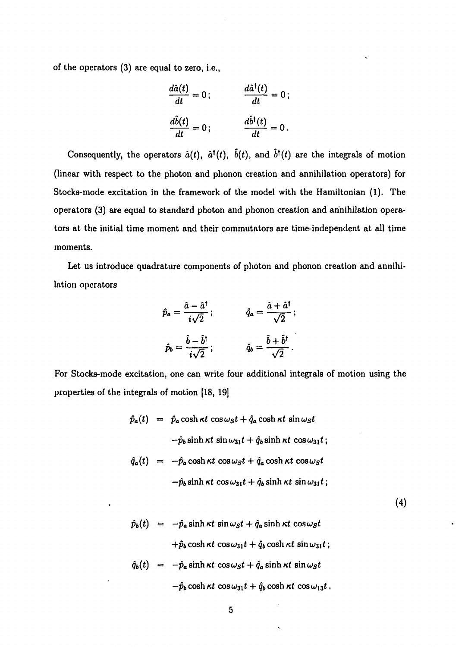of the operators (3) are equal to zero, i.e.,

$$
\frac{d\hat{a}(t)}{dt} = 0; \qquad \frac{d\hat{a}^{\dagger}(t)}{dt} = 0; \n\frac{d\hat{b}(t)}{dt} = 0; \qquad \frac{d\hat{b}^{\dagger}(t)}{dt} = 0.
$$

Consequently, the operators  $\hat{a}(t)$ ,  $\hat{a}^{\dagger}(t)$ ,  $\hat{b}(t)$ , and  $\hat{b}^{\dagger}(t)$  are the integrals of motion (linear with respect to the photon and phonon creation and annihilation operators) for Stocks-mode excitation in the framework of the model with the Hamiltonian (1). The operators (3) are equal to standard photon and phonon creation and annihilation operators at the initial time moment and their commutators are time-independent at all time moments.

Let us introduce quadrature components of photon and phonon creation and annihilation operators

$$
\hat{p}_a = \frac{\hat{a} - \hat{a}^\dagger}{i\sqrt{2}}; \qquad \qquad \hat{q}_a = \frac{\hat{a} + \hat{a}^\dagger}{\sqrt{2}}; \n\hat{p}_b = \frac{\hat{b} - \hat{b}^\dagger}{i\sqrt{2}}; \qquad \qquad \hat{q}_b = \frac{\hat{b} + \hat{b}^\dagger}{\sqrt{2}}.
$$

For Stocks-mode excitation, one can write four additional integrals of motion using the properties of the integrals of motion [18, 19]

$$
\hat{p}_a(t) = \hat{p}_a \cosh \kappa t \cos \omega_s t + \hat{q}_a \cosh \kappa t \sin \omega_s t
$$
  
\n
$$
-\hat{p}_b \sinh \kappa t \sin \omega_{31} t + \hat{q}_b \sinh \kappa t \cos \omega_{31} t ;
$$
  
\n
$$
\hat{q}_a(t) = -\hat{p}_a \cosh \kappa t \cos \omega_s t + \hat{q}_a \cosh \kappa t \cos \omega_s t
$$
  
\n
$$
-\hat{p}_b \sinh \kappa t \cos \omega_{31} t + \hat{q}_b \sinh \kappa t \sin \omega_{31} t ;
$$

(4)

$$
\hat{p}_b(t) = -\hat{p}_a \sinh \kappa t \sin \omega_s t + \hat{q}_a \sinh \kappa t \cos \omega_s t
$$
  
+
$$
\hat{p}_b \cosh \kappa t \cos \omega_{31} t + \hat{q}_b \cosh \kappa t \sin \omega_{31} t ;
$$
  

$$
\hat{q}_b(t) = -\hat{p}_a \sinh \kappa t \cos \omega_s t + \hat{q}_a \sinh \kappa t \sin \omega_s t
$$

$$
-\hat{p}_b \cosh \kappa t \, \cos \omega_{31} t + \hat{q}_b \cosh \kappa t \, \cos \omega_{13} t \, .
$$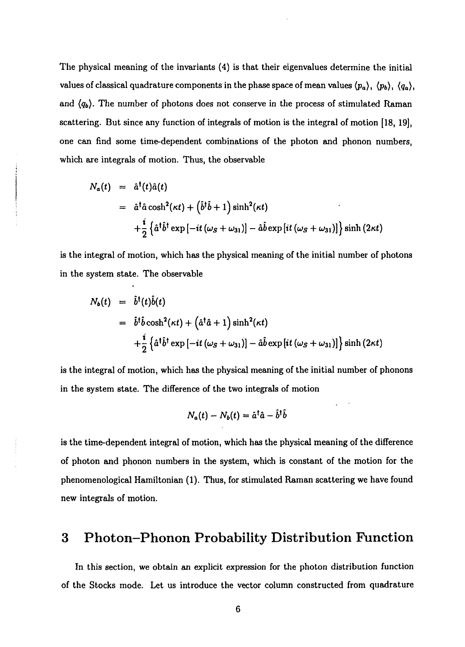The physical meaning of the invariants (4) is that their eigenvalues determine the initial values of classical quadrature components in the phase space of mean values *(pa)*, *(pb), (Qa),* and  $\langle q_b \rangle$ . The number of photons does not conserve in the process of stimulated Raman scattering. But since any function of integrals of motion is the integral of motion [18, 19], one can find some time-dependent combinations of the photon and phonon numbers, which are integrals of motion. Thus, the observable

$$
N_a(t) = \hat{a}^\dagger(t)\hat{a}(t)
$$
  
=  $\hat{a}^\dagger \hat{a} \cosh^2(\kappa t) + (\hat{b}^\dagger \hat{b} + 1) \sinh^2(\kappa t)$   
+ $\frac{i}{2} \{\hat{a}^\dagger \hat{b}^\dagger \exp[-it(\omega_s + \omega_{31})] - \hat{a} \hat{b} \exp[i t (\omega_s + \omega_{31})]\}\sinh(2\kappa t)$ 

is the integral of motion, which has the physical meaning of the initial number of photons in the system state. The observable

$$
N_b(t) = \hat{b}^\dagger(t)\hat{b}(t)
$$
  
=  $\hat{b}^\dagger\hat{b}\cosh^2(\kappa t) + (\hat{a}^\dagger\hat{a} + 1)\sinh^2(\kappa t)$   
+ $\frac{i}{2} \{\hat{a}^\dagger\hat{b}^\dagger \exp[-it(\omega_S + \omega_{31})] - \hat{a}\hat{b} \exp[it(\omega_S + \omega_{31})]\}\sinh(2\kappa t)$ 

is the integral of motion, which has the physical meaning of the initial number of phonons in the system state. The difference of the two integrals of motion

$$
N_a(t) - N_b(t) = \hat{a}^\dagger \hat{a} - \hat{b}^\dagger \hat{b}
$$

is the time-dependent integral of motion, which has the physical meaning of the difference of photon and phonon numbers in the system, which is constant of the motion for the phenomenological Hamiltonian (1). Thus, for stimulated Raman scattering we have found new integrals of motion.

## **3 Photon-Phonon Probability Distribution Function**

In this section, we obtain an explicit expression for the photon distribution function of the Stocks mode. Let us introduce the vector column constructed from quadrature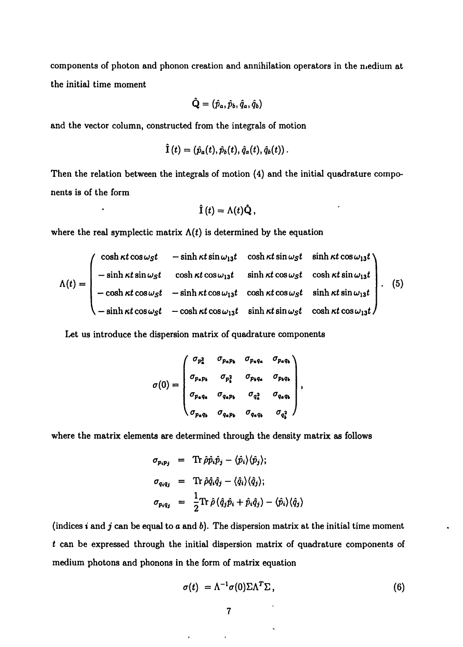components of photon and phonon creation and annihilation operators in the niedium at the initial time moment

$$
\hat{\mathbf{Q}}=(\hat{p}_a,\hat{p}_b,\hat{q}_a,\hat{q}_b)
$$

and the vector column, constructed from the integrals of motion

$$
\tilde{\mathbf{I}}\left(t\right)=\left(\hat{p}_a(t),\hat{p}_b(t),\hat{q}_a(t),\hat{q}_b(t)\right).
$$

Then the relation between the integrals of motion (4) and the initial quadrature components is of the form

$$
\hat{\mathbf{I}}(t) = \Lambda(t)\hat{\mathbf{Q}},
$$

where the real symplectic matrix  $\Lambda(t)$  is determined by the equation

$$
\Lambda(t) = \begin{pmatrix}\n\cosh \kappa t \cos \omega_s t & -\sinh \kappa t \sin \omega_{13} t & \cosh \kappa t \sin \omega_s t & \sinh \kappa t \cos \omega_{13} t \\
-\sinh \kappa t \sin \omega_s t & \cosh \kappa t \cos \omega_{13} t & \sinh \kappa t \cos \omega_s t & \cosh \kappa t \sin \omega_{13} t \\
-\cosh \kappa t \cos \omega_s t & -\sinh \kappa t \cos \omega_{13} t & \cosh \kappa t \cos \omega_s t & \sinh \kappa t \sin \omega_s t \\
-\sinh \kappa t \cos \omega_s t & -\cosh \kappa t \cos \omega_{13} t & \sinh \kappa t \sin \omega_s t & \cosh \kappa t \cos \omega_{13} t\n\end{pmatrix}.
$$
 (5)

Let us introduce the dispersion matrix of quadrature components

$$
\sigma(0) = \begin{pmatrix}\n\sigma_{p_a^2} & \sigma_{p_a p_b} & \sigma_{p_a q_a} & \sigma_{p_a q_b} \\
\sigma_{p_a p_b} & \sigma_{p_b^2} & \sigma_{p_b q_a} & \sigma_{p_b q_b} \\
\sigma_{p_a q_a} & \sigma_{q_a p_b} & \sigma_{q_a^2} & \sigma_{q_a q_b} \\
\sigma_{p_a q_b} & \sigma_{q_a p_b} & \sigma_{q_a q_b} & \sigma_{q_a^2}\n\end{pmatrix},
$$

where the matrix elements are determined through the density matrix as follows

$$
\sigma_{p_i p_j} = \text{Tr} \hat{\rho} \hat{p}_i \hat{p}_j - \langle \hat{p}_i \rangle \langle \hat{p}_j \rangle;
$$
  
\n
$$
\sigma_{q_i q_j} = \text{Tr} \hat{\rho} \hat{q}_i \hat{q}_j - \langle \hat{q}_i \rangle \langle \hat{q}_j \rangle;
$$
  
\n
$$
\sigma_{p_i q_j} = \frac{1}{2} \text{Tr} \hat{\rho} \left( \hat{q}_j \hat{p}_i + \hat{p}_i \hat{q}_j \right) - \langle \hat{p}_i \rangle \langle \hat{q}_j \rangle
$$

(indices  $i$  and  $j$  can be equal to  $a$  and  $b$ ). The dispersion matrix at the initial time moment *t* can be expressed through the initial dispersion matrix of quadrature components of medium photons and phonons in the form of matrix equation

$$
\sigma(t) = \Lambda^{-1} \sigma(0) \Sigma \Lambda^T \Sigma, \qquad (6)
$$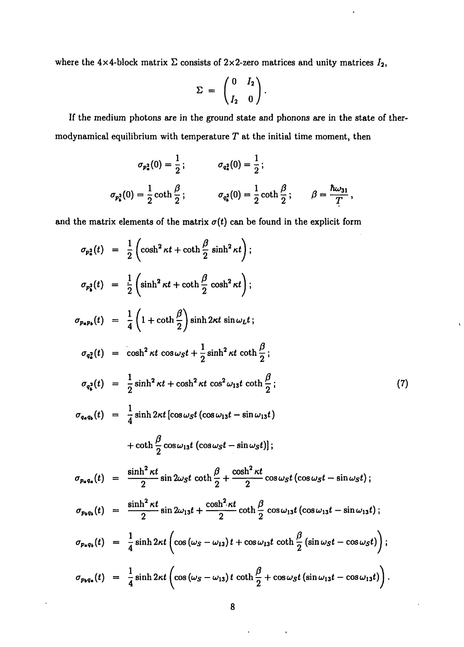where the  $4\times4$ -block matrix  $\Sigma$  consists of  $2\times2$ -zero matrices and unity matrices  $I_2$ ,

$$
\Sigma = \begin{pmatrix} 0 & I_2 \\ I_2 & 0 \end{pmatrix}.
$$

If the medium photons are in the ground state and phonons are in the state of thermodynamical equilibrium with temperature *T* at the initial time moment, then

$$
\sigma_{p_{a}^{2}}(0) = \frac{1}{2}; \qquad \sigma_{q_{a}^{2}}(0) = \frac{1}{2};
$$
  

$$
\sigma_{p_{b}^{2}}(0) = \frac{1}{2} \coth \frac{\beta}{2}; \qquad \sigma_{q_{b}^{2}}(0) = \frac{1}{2} \coth \frac{\beta}{2}; \qquad \beta = \frac{\hbar \omega_{31}}{T},
$$

and the matrix elements of the matrix  $\sigma(t)$  can be found in the explicit form

$$
\sigma_{p_2^2}(t) = \frac{1}{2} \left( \cosh^2 \kappa t + \coth \frac{\beta}{2} \sinh^2 \kappa t \right);
$$
\n
$$
\sigma_{p_2^2}(t) = \frac{1}{2} \left( \sinh^2 \kappa t + \coth \frac{\beta}{2} \cosh^2 \kappa t \right);
$$
\n
$$
\sigma_{p_2p_3}(t) = \frac{1}{4} \left( 1 + \coth \frac{\beta}{2} \right) \sinh 2\kappa t \sin \omega_L t;
$$
\n
$$
\sigma_{q_2^2}(t) = \cosh^2 \kappa t \cos \omega_S t + \frac{1}{2} \sinh^2 \kappa t \coth \frac{\beta}{2};
$$
\n
$$
\sigma_{q_2^2}(t) = \frac{1}{2} \sinh^2 \kappa t + \cosh^2 \kappa t \cos^2 \omega_{13} t \coth \frac{\beta}{2};
$$
\n
$$
\sigma_{q_2q_3}(t) = \frac{1}{4} \sinh 2\kappa t \left[ \cos \omega_S t \left( \cos \omega_{13} t - \sin \omega_{13} t \right) \right]
$$
\n
$$
+ \coth \frac{\beta}{2} \cos \omega_{13} t \left( \cos \omega_S t - \sin \omega_S t \right);
$$
\n
$$
\sigma_{p_2q_3}(t) = \frac{\sinh^2 \kappa t}{2} \sin 2\omega_S t \coth \frac{\beta}{2} + \frac{\cosh^2 \kappa t}{2} \cos \omega_S t \left( \cos \omega_S t - \sin \omega_S t \right);
$$
\n
$$
\sigma_{p_2q_3}(t) = \frac{\sinh^2 \kappa t}{2} \sin 2\omega_{13} t + \frac{\cosh^2 \kappa t}{2} \coth \frac{\beta}{2} \cos \omega_{13} t \left( \cos \omega_{13} t - \sin \omega_{13} t \right);
$$
\n
$$
\sigma_{p_2q_3}(t) = \frac{1}{4} \sinh 2\kappa t \left( \cos (\omega_S - \omega_{13}) t + \cos \omega_{13} t \coth \frac{\beta}{2} \left( \sin \omega_S t - \cos \omega_S t \right) \right);
$$
\n
$$
\sigma_{p_2q_3}(t) = \frac{1}{4} \
$$

í.

 $\sim 10^{11}$  and  $\sim 10^{11}$ 

 $\cdot$ 

 $\bullet$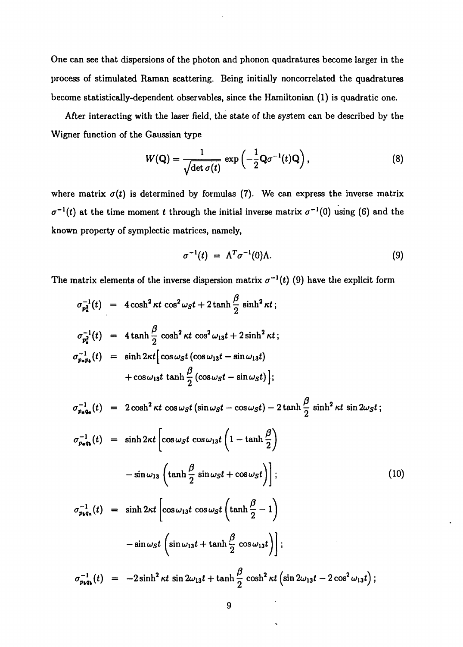One can see that dispersions of the photon and phonon quadratures become larger in the process of stimulated Raman scattering. Being initially noncorrelated the quadratures become statistically-dependent observables, since the Hamiltonian (1) is quadratic one.

After interacting with the laser field, the state of the system can be described by the Wigner function of the Gaussian type

$$
W(\mathbf{Q}) = \frac{1}{\sqrt{\det \sigma(t)}} \exp\left(-\frac{1}{2} \mathbf{Q} \sigma^{-1}(t) \mathbf{Q}\right), \tag{8}
$$

where matrix  $\sigma(t)$  is determined by formulas (7). We can express the inverse matrix  $\sigma^{-1}(t)$  at the time moment t through the initial inverse matrix  $\sigma^{-1}(0)$  using (6) and the known property of symplectic matrices, namely,

$$
\sigma^{-1}(t) = \Lambda^T \sigma^{-1}(0) \Lambda. \tag{9}
$$

The matrix elements of the inverse dispersion matrix  $\sigma^{-1}(t)$  (9) have the explicit form

$$
\sigma_{p_2}^{-1}(t) = 4 \cosh^2 \kappa t \cos^2 \omega_s t + 2 \tanh \frac{\beta}{2} \sinh^2 \kappa t ;
$$
\n
$$
\sigma_{p_2}^{-1}(t) = 4 \tanh \frac{\beta}{2} \cosh^2 \kappa t \cos^2 \omega_{13} t + 2 \sinh^2 \kappa t ;
$$
\n
$$
\sigma_{p_2p_b}^{-1}(t) = \sinh 2\kappa t \left[ \cos \omega_s t \left( \cos \omega_{13} t - \sin \omega_{13} t \right) \right.
$$
\n
$$
+ \cos \omega_{13} t \tanh \frac{\beta}{2} \left( \cos \omega_s t - \sin \omega_s t \right);
$$
\n
$$
\sigma_{p_4q_a}^{-1}(t) = 2 \cosh^2 \kappa t \cos \omega_s t \left( \sin \omega_s t - \cos \omega_s t \right) - 2 \tanh \frac{\beta}{2} \sinh^2 \kappa t \sin 2\omega_s t ;
$$
\n
$$
\sigma_{p_4q_a}^{-1}(t) = \sinh 2\kappa t \left[ \cos \omega_s t \cos \omega_{13} t \left( 1 - \tanh \frac{\beta}{2} \right) \right.
$$
\n
$$
- \sin \omega_{13} \left( \tanh \frac{\beta}{2} \sin \omega_s t + \cos \omega_s t \right); \qquad (10)
$$
\n
$$
\sigma_{p_4q_a}^{-1}(t) = \sinh 2\kappa t \left[ \cos \omega_{13} t \cos \omega_s t \left( \tanh \frac{\beta}{2} - 1 \right) \right.
$$
\n
$$
- \sin \omega_s t \left( \sin \omega_{13} t + \tanh \frac{\beta}{2} \cos \omega_{13} t \right); \qquad (10)
$$
\n
$$
\sigma_{p_4q_a}^{-1}(t) = -2 \sinh^2 \kappa t \sin 2\omega_{13} t + \tanh \frac{\beta}{2} \cosh^2 \kappa t \left( \sin 2\omega_{13} t - 2 \cos^2 \omega_{13} t \right);
$$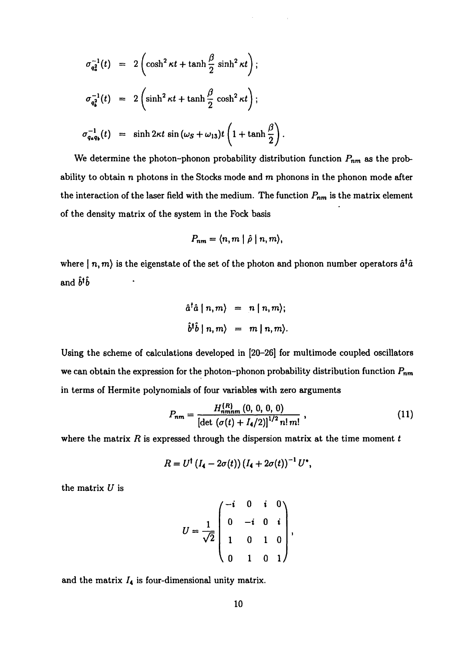$$
\sigma_{q_a^2}^{-1}(t) = 2 \left( \cosh^2 \kappa t + \tanh \frac{\beta}{2} \sinh^2 \kappa t \right);
$$
  
\n
$$
\sigma_{q_b^2}^{-1}(t) = 2 \left( \sinh^2 \kappa t + \tanh \frac{\beta}{2} \cosh^2 \kappa t \right);
$$
  
\n
$$
\sigma_{q_a q_b}^{-1}(t) = \sinh 2\kappa t \sin (\omega_s + \omega_{13}) t \left( 1 + \tanh \frac{\beta}{2} \right).
$$

We determine the photon-phonon probability distribution function *Pnm* as the probability to obtain n photons in the Stocks mode and *m* phonons in the phonon mode after the interaction of the laser field with the medium. The function  $P_{nm}$  is the matrix element of the density matrix of the system in the Fock basis

$$
P_{nm}=\langle n,m\mid\hat{\rho}\mid n,m\rangle,
$$

where  $| n, m \rangle$  is the eigenstate of the set of the photon and phonon number operators  $\hat{a}^{\dagger} \hat{a}$ and  $\hat{b}^{\dagger}\hat{b}$ 

$$
\hat{a}^{\dagger} \hat{a} | n, m \rangle = n | n, m \rangle;
$$
  

$$
\hat{b}^{\dagger} \hat{b} | n, m \rangle = m | n, m \rangle.
$$

Using the scheme of calculations developed in [20-26] for multimode coupled oscillators we can obtain the expression for the photon-phonon probability distribution function  $P_{nm}$ in terms of Hermite polynomials of four variables with zero arguments

$$
P_{nm} = \frac{H_{nmnm}^{(R)}(0, 0, 0, 0)}{\left[\det\left(\sigma(t) + I_4/2\right)\right]^{1/2} n! \, m!},\tag{11}
$$

where the matrix *R* is expressed through the dispersion matrix at the time moment *t*

$$
R = U^{\dagger} (I_4 - 2\sigma(t)) (I_4 + 2\sigma(t))^{-1} U^*,
$$

the matrix *U* is

$$
U = \frac{1}{\sqrt{2}} \begin{pmatrix} -i & 0 & i & 0 \\ 0 & -i & 0 & i \\ 1 & 0 & 1 & 0 \\ 0 & 1 & 0 & 1 \end{pmatrix},
$$

and the matrix  $I_4$  is four-dimensional unity matrix.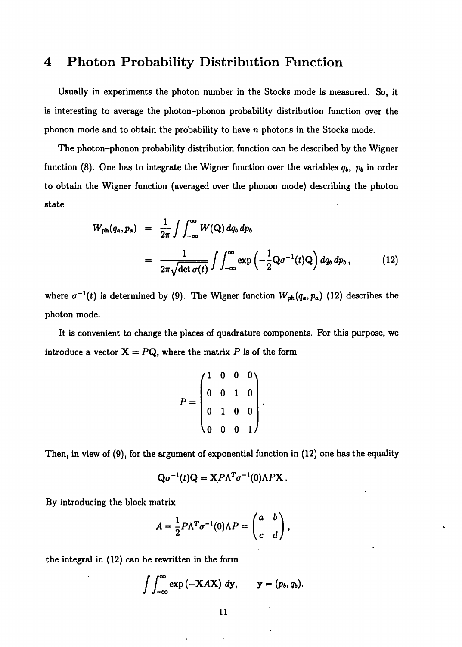#### **4 Photon Probability Distribution Function**

Usually in experiments the photon number in the Stocks mode is measured. So, it is interesting to average the photon-phonon probability distribution function over the phonon mode and to obtain the probability to have n photons in the Stocks mode.

The photon-phonon probability distribution function can be described by the Wigner function (8). One has to integrate the Wigner function over the variables  $q_b$ ,  $p_b$  in order to obtain the Wigner function (averaged over the phonon mode) describing the photon state

$$
W_{\rm ph}(q_a, p_a) = \frac{1}{2\pi} \int \int_{-\infty}^{\infty} W(\mathbf{Q}) \, dq_b \, dp_b
$$
  
= 
$$
\frac{1}{2\pi \sqrt{\det \sigma(t)}} \int \int_{-\infty}^{\infty} \exp\left(-\frac{1}{2} \mathbf{Q} \sigma^{-1}(t) \mathbf{Q}\right) dq_b \, dp_b,
$$
(12)

where  $\sigma^{-1}(t)$  is determined by (9). The Wigner function  $W_{ph}(q_a, p_a)$  (12) describes the photon mode.

It is convenient to change the places of quadrature components. For this purpose, we introduce a vector  $X = PQ$ , where the matrix P is of the form

$$
P = \begin{pmatrix} 1 & 0 & 0 & 0 \\ 0 & 0 & 1 & 0 \\ 0 & 1 & 0 & 0 \\ 0 & 0 & 0 & 1 \end{pmatrix}.
$$

Then, in view of (9), for the argument of exponential function in (12) one has the equality

$$
Q\sigma^{-1}(t)Q = X P \Lambda^T \sigma^{-1}(0) \Lambda P X.
$$

By introducing the block matrix

$$
A=\frac{1}{2}P\Lambda^T\sigma^{-1}(0)\Lambda P=\begin{pmatrix}a&b\\c&d\end{pmatrix},
$$

the integral in (12) can be rewritten in the form

$$
\int \int_{-\infty}^{\infty} \exp(-XAX) \, dy, \qquad y = (p_b, q_b)
$$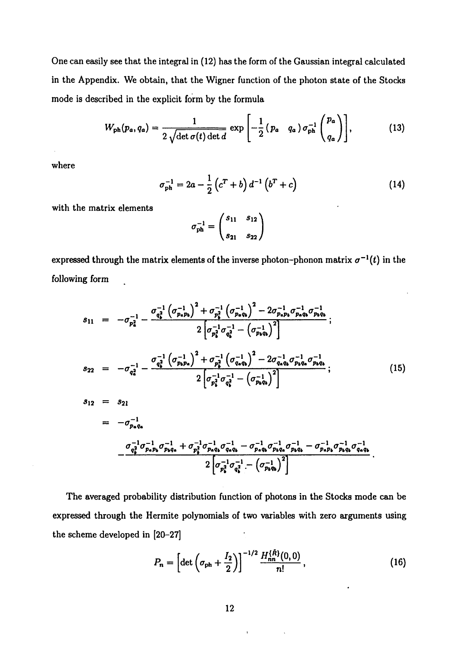One can easily see that the integral in (12) has the form of the Gaussian integral calculated in the Appendix. We obtain, that the Wigner function of the photon state of the Stocks mode is described in the explicit form by the formula

$$
W_{\rm ph}(p_a, q_a) = \frac{1}{2\sqrt{\det \sigma(t) \det d}} \exp\left[-\frac{1}{2}(p_a \ q_a) \sigma_{\rm ph}^{-1} \binom{p_a}{q_a}\right],\tag{13}
$$

where

$$
\sigma_{\rm ph}^{-1} = 2a - \frac{1}{2} \left( c^T + b \right) d^{-1} \left( b^T + c \right) \tag{14}
$$

with the matrix elements

$$
\sigma_{\rm ph}^{-1} = \begin{pmatrix} s_{11} & s_{12} \\ s_{21} & s_{22} \end{pmatrix}
$$

expressed through the matrix elements of the inverse photon–phonon matrix  $\sigma^{-1}(t)$  in the following form

$$
s_{11} = -\sigma_{p_{a}^{2}}^{-1} - \frac{\sigma_{q_{b}^{2}}^{-1} (\sigma_{p_{a}p_{b}}^{-1})^{2} + \sigma_{p_{b}^{2}}^{-1} (\sigma_{p_{a}q_{b}}^{-1})^{2} - 2\sigma_{p_{a}p_{b}}^{-1} \sigma_{p_{a}q_{b}}^{-1} \sigma_{p_{b}q_{b}}^{-1}}{2 \left[ \sigma_{p_{a}^{2}}^{-1} \sigma_{q_{a}^{2}}^{-1} - (\sigma_{p_{b}q_{b}}^{-1})^{2} \right]};
$$
\n
$$
s_{22} = -\sigma_{q_{a}^{2}}^{-1} - \frac{\sigma_{q_{a}^{2}}^{-1} (\sigma_{p_{b}p_{a}}^{-1})^{2} + \sigma_{p_{a}^{2}}^{-1} (\sigma_{q_{a}q_{b}}^{-1})^{2} - 2\sigma_{q_{a}q_{b}}^{-1} \sigma_{p_{b}q_{a}}^{-1}}{2 \left[ \sigma_{p_{a}^{2}}^{-1} \sigma_{q_{a}^{2}}^{-1} - (\sigma_{p_{b}q_{b}}^{-1})^{2} \right]};
$$
\n
$$
s_{12} = s_{21}
$$
\n
$$
= -\sigma_{p_{a}q_{a}}^{-1}
$$
\n
$$
\sigma_{q_{a}^{2}}^{-1} \sigma_{q_{a}^{2}}^{-1} - \sigma_{q_{a}^{2}}^{-1} \sigma_{q_{a}^{2}}^{-1} - \sigma_{q_{a}^{2}}^{-1} \sigma_{q_{a}^{2}}^{-1} - \sigma_{q_{a}^{2}}^{-1} \sigma_{q_{a}^{2}}^{-1} - \sigma_{q_{a}^{2}}^{-1} \sigma_{q_{a}^{2}}^{-1}
$$
\n
$$
s_{12} = s_{21}
$$
\n
$$
= -\sigma_{p_{a}q_{a}}^{-1}
$$

$$
-\frac{\sigma_{q_{\sharp}}^{-1}\sigma_{p_{a}p_{b}}^{-1}\sigma_{p_{b}q_{a}}^{-1} + \sigma_{p_{\sharp}}^{-1}\sigma_{p_{a}q_{b}}^{-1}\sigma_{q_{a}q_{b}}^{-1} - \sigma_{p_{a}q_{b}}^{-1}\sigma_{p_{b}q_{a}}^{-1}\sigma_{p_{b}q_{b}}^{-1}\sigma_{p_{b}q_{b}}^{-1}\sigma_{q_{a}q_{b}}^{-1}}{2\left[\sigma_{p_{\sharp}}^{-1}\sigma_{q_{\sharp}}^{-1} - \left(\sigma_{p_{b}q_{b}}^{-1}\right)^{2}\right]}.
$$

The averaged probability distribution function of photons in the Stocks mode can be expressed through the Hermite polynomials of two variables with zero arguments using the scheme developed in [20-27]

$$
P_n = \left[ \det \left( \sigma_{\rm ph} + \frac{I_2}{2} \right) \right]^{-1/2} \frac{H_{nn}^{(\tilde{R})}(0,0)}{n!}, \qquad (16)
$$

 $\sim$   $\sim$ 

 $\overline{1}$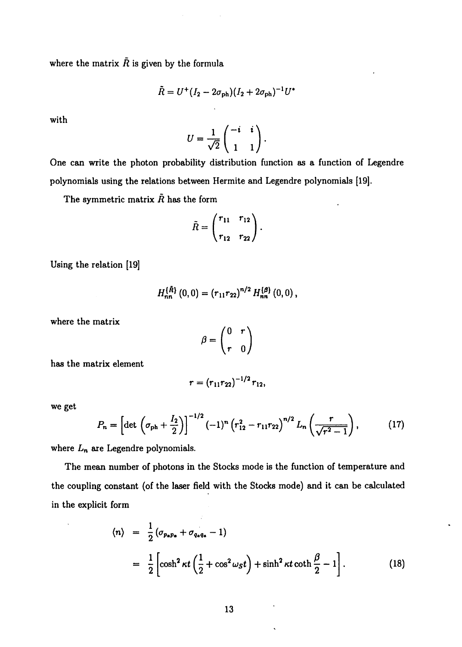where the matrix  $\tilde{R}$  is given by the formula

$$
\tilde{R} = U^+(I_2 - 2\sigma_{\rm ph}) (I_2 + 2\sigma_{\rm ph})^{-1} U^*
$$

with

$$
U=\frac{1}{\sqrt{2}}\begin{pmatrix} -i & i \\ 1 & 1 \end{pmatrix}.
$$

One can write the photon probability distribution function as a function of Legendre polynomials using the relations between Hermite and Legendre polynomials [19].

The symmetric matrix  $\tilde{R}$  has the form

$$
\tilde{R} = \begin{pmatrix} r_{11} & r_{12} \\ r_{12} & r_{22} \end{pmatrix}.
$$

Using the relation [19]

$$
H_{nn}^{\{\tilde{R}\}}(0,0)=(r_{11}r_{22})^{n/2}H_{nn}^{\{\beta\}}(0,0),
$$

where the matrix

$$
\beta = \begin{pmatrix} 0 & r \\ r & 0 \end{pmatrix}
$$

has the matrix element

$$
r=(r_{11}r_{22})^{-1/2}r_{12},
$$

we get

$$
P_n = \left[ \det \left( \sigma_{\rm ph} + \frac{I_2}{2} \right) \right]^{-1/2} (-1)^n \left( r_{12}^2 - r_{11} r_{22} \right)^{n/2} L_n \left( \frac{r}{\sqrt{r^2 - 1}} \right), \tag{17}
$$

where  $L_n$  are Legendre polynomials.

The mean number of photons in the Stocks mode is the function of temperature and the coupling constant (of the laser field with the Stocks mode) and it can be calculated in the explicit form

$$
\langle n \rangle = \frac{1}{2} (\sigma_{p_{\alpha}p_{\alpha}} + \sigma_{q_{\alpha}q_{\alpha}} - 1)
$$
  
= 
$$
\frac{1}{2} \left[ \cosh^2 \kappa t \left( \frac{1}{2} + \cos^2 \omega_s t \right) + \sinh^2 \kappa t \coth \frac{\beta}{2} - 1 \right].
$$
 (18)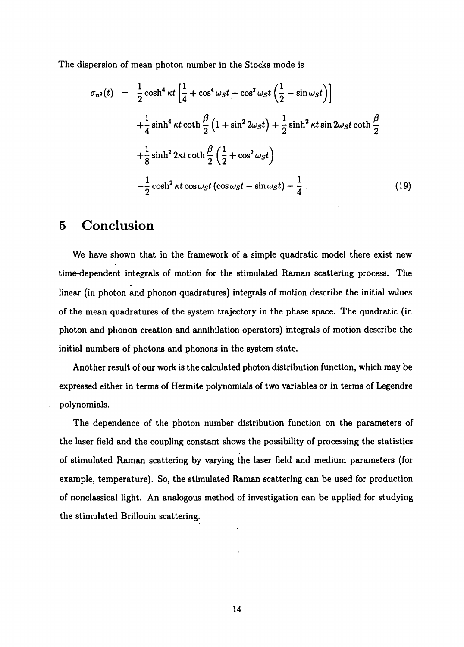The dispersion of mean photon number in the Stocks mode is

$$
\sigma_{n^2}(t) = \frac{1}{2} \cosh^4 \kappa t \left[ \frac{1}{4} + \cos^4 \omega_s t + \cos^2 \omega_s t \left( \frac{1}{2} - \sin \omega_s t \right) \right]
$$
  
+ 
$$
\frac{1}{4} \sinh^4 \kappa t \coth \frac{\beta}{2} \left( 1 + \sin^2 2\omega_s t \right) + \frac{1}{2} \sinh^2 \kappa t \sin 2\omega_s t \coth \frac{\beta}{2}
$$
  
+ 
$$
\frac{1}{8} \sinh^2 2\kappa t \coth \frac{\beta}{2} \left( \frac{1}{2} + \cos^2 \omega_s t \right)
$$
  
- 
$$
\frac{1}{2} \cosh^2 \kappa t \cos \omega_s t \left( \cos \omega_s t - \sin \omega_s t \right) - \frac{1}{4} . \tag{19}
$$

#### **5 Conclusion**

We have shown that in the framework of a simple quadratic model there exist new time-dependent integrals of motion for the stimulated Raman scattering process. The linear (in photon and phonon quadratures) integrals of motion describe the initial values of the mean quadratures of the system trajectory in the phase space. The quadratic (in photon and phonon creation and annihilation operators) integrals of motion describe the initial numbers of photons and phonons in the system state.

Another result of our work is the calculated photon distribution function, which may be expressed either in terms of Hermite polynomials of two variables or in terms of Legendre polynomials.

The dependence of the photon number distribution function on the parameters of the laser field and the coupling constant shows the possibility of processing the statistics of stimulated Raman scattering by varying the laser field and medium parameters (for example, temperature). So, the stimulated Raman scattering can be used for production of nonclassical light. An analogous method of investigation can be applied for studying the stimulated Brillouin scattering.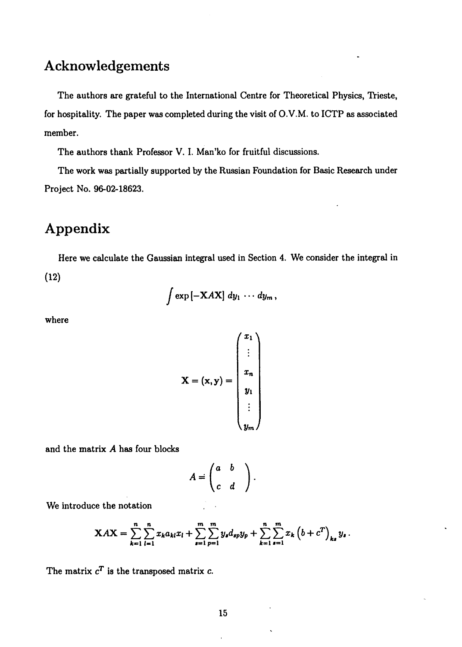# **Acknowledgements**

The authors are grateful to the International Centre for Theoretical Physics, Trieste, for hospitality. The paper was completed during the visit of O. V.M. to ICTP as associated member.

The authors thank Professor V. I. Man'ko for fruitful discussions.

The work was partially supported by the Russian Foundation for Basic Research under Project No. 96-02-18623.

## **Appendix**

Here we calculate the Gaussian integral used in Section 4. We consider the integral in (12)

$$
\int \exp\left[-XAX\right] dy_1\,\cdots\,dy_m\,,
$$

where

$$
\mathbf{X} = (\mathbf{x}, \mathbf{y}) = \begin{pmatrix} x_1 \\ \vdots \\ x_n \\ y_1 \\ \vdots \\ y_m \end{pmatrix}
$$

and the matrix *A* has four blocks

$$
A = \begin{pmatrix} a & b \\ c & d \end{pmatrix}.
$$

We introduce the notation

$$
XAX = \sum_{k=1}^{n} \sum_{l=1}^{n} x_k a_{kl} x_l + \sum_{s=1}^{m} \sum_{p=1}^{m} y_s d_{sp} y_p + \sum_{k=1}^{n} \sum_{s=1}^{m} x_k \left(b + c^T\right)_{ks} y_s.
$$

The matrix  $c^T$  is the transposed matrix  $c$ .

 $\overline{a}$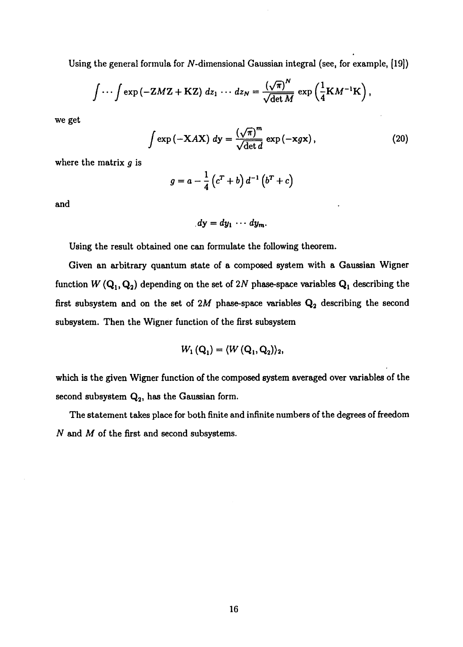Using the general formula for  $N$ -dimensional Gaussian integral (see, for example,  $[19]$ )

$$
\int \cdots \int \exp(-Z M Z + K Z) dz_1 \cdots dz_N = \frac{(\sqrt{\pi})^N}{\sqrt{\det M}} \exp\left(\frac{1}{4} K M^{-1} K\right),
$$

we get

$$
\int \exp\left(-\mathbf{X}A\mathbf{X}\right) \, d\mathbf{y} = \frac{\left(\sqrt{\pi}\right)^m}{\sqrt{\det d}} \, \exp\left(-\mathbf{x}g\mathbf{x}\right),\tag{20}
$$

where the matrix *g* is

$$
g = a - \frac{1}{4} \left( c^T + b \right) d^{-1} \left( b^T + c \right)
$$

and

$$
dy = dy_1 \cdots dy_m.
$$

Using the result obtained one can formulate the following theorem.

Given an arbitrary quantum state of a composed system with a Gaussian Wigner function  $W(\mathbf{Q}_1, \mathbf{Q}_2)$  depending on the set of 2N phase-space variables  $\mathbf{Q}_1$  describing the first subsystem and on the set of  $2M$  phase-space variables  $Q_2$  describing the second subsystem. Then the Wigner function of the first subsystem

$$
W_1(Q_1) = \langle W(Q_1, Q_2) \rangle_2,
$$

which is the given Wigner function of the composed system averaged over variables of the second subsystem  $\mathbf{Q_2}$ , has the Gaussian form.

The statement takes place for both finite and infinite numbers of the degrees of freedom *N* and M of the first and second subsystems.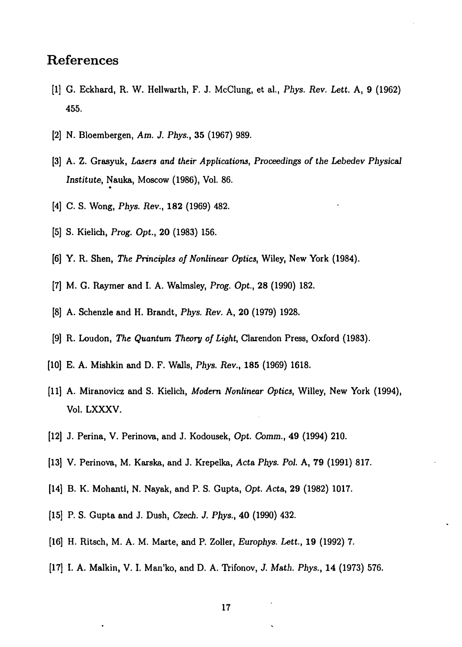### References

- [1] G. Eckhard, R. W. Hellwarth, F. J. McClung, et al, *Phys. Rev, Lett.* A, 9 (1962) 455.
- [2] N. Bloembergen, *Am. J. Phys.,* 35 (1967) 989.
- [3] A. Z. Grasyuk, *Lasers and their Applications, Proceedings of the Lebedev Physical Institute,* Nauka, Moscow (1986), Vol. 86.
- [4] C. S. Wong, *Phys. Rev.,* 182 (1969) 482.
- [5] S. Kielich, *Prog. Opt.,* 20 (1983) 156.
- [6] Y. R. Shen, *The Principles of Nonlinear Optics,* Wiley, New York (1984).
- [7] M. G. Raymer and I. A. Walmsley, *Prog. Opt,* 28 (1990) 182.
- [8] A. Schenzle and H. Brandt, *Phys. Rev.* A, 20 (1979) 1928.
- [9] R. Loudon, *The Quantum Theory of Light,* Clarendon Press, Oxford (1983).
- [10] E. A. Mishkin and D. F. Walls, *Phys. Rev.,* **185** (1969) 1618.
- [11] A. Miranovicz and S. Kielich, *Modern Nonlinear Optics,* Willey, New York (1994), Vol. LXXXV.
- [12] J. Perina, V. Perinova, and J. Kodousek, Opt. *Comm.,* 49 (1994) 210.
- [13] V. Perinova, M. Karska, and J. Krepelka, *Acta Phys. Pol.* A, 79 (1991) 817.
- [14] B. K. Mohanti, N. Nayak, and P. S. Gupta, *Opt. Acta,* 29 (1982) 1017.
- [15] P. S. Gupta and J. Dush, *Czech. J. Phys.,* 40 (1990) 432.
- [16] H. Ritsch, M. A. M. Marte, and P. Zoller, *Europhys. Lett,* 19 (1992) 7.
- [17] I. A. Malkin, V. I. Man'ko, and D. A. Trifonov, *J. Math. Phys.*, 14 (1973) 576.